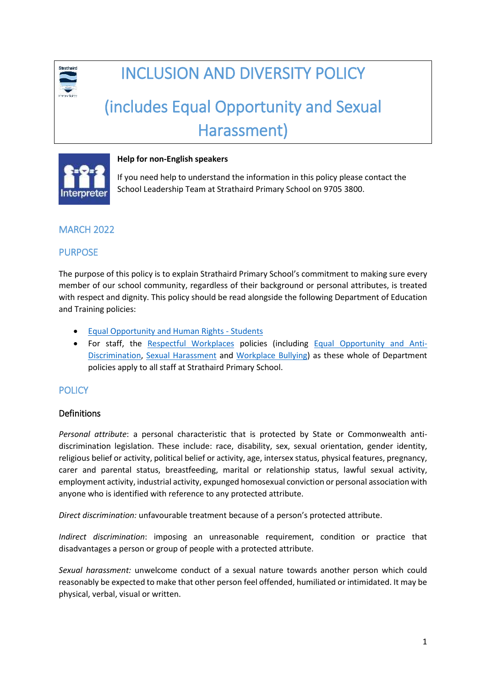

# INCLUSION AND DIVERSITY POLICY

# (includes Equal Opportunity and Sexual Harassment)



#### **Help for non-English speakers**

If you need help to understand the information in this policy please contact the School Leadership Team at Strathaird Primary School on 9705 3800.

# MARCH 2022

#### PURPOSE

The purpose of this policy is to explain Strathaird Primary School's commitment to making sure every member of our school community, regardless of their background or personal attributes, is treated with respect and dignity. This policy should be read alongside the following Department of Education and Training policies:

- [Equal Opportunity and Human Rights -](https://www2.education.vic.gov.au/pal/equal-opportunity-human-rights-students/policy) Students
- For staff, the [Respectful Workplaces](https://www2.education.vic.gov.au/pal/respectful-workplaces/overview) policies (including [Equal Opportunity and Anti-](https://www2.education.vic.gov.au/pal/equal-opportunity/overview)[Discrimination,](https://www2.education.vic.gov.au/pal/equal-opportunity/overview) [Sexual Harassment](https://www2.education.vic.gov.au/pal/sexual-harassment/overview) and [Workplace Bullying\)](https://www2.education.vic.gov.au/pal/workplace-bullying/policy) as these whole of Department policies apply to all staff at Strathaird Primary School.

# **POLICY**

#### **Definitions**

*Personal attribute*: a personal characteristic that is protected by State or Commonwealth antidiscrimination legislation. These include: race, disability, sex, sexual orientation, gender identity, religious belief or activity, political belief or activity, age, intersex status, physical features, pregnancy, carer and parental status, breastfeeding, marital or relationship status, lawful sexual activity, employment activity, industrial activity, expunged homosexual conviction or personal association with anyone who is identified with reference to any protected attribute.

*Direct discrimination:* unfavourable treatment because of a person's protected attribute.

*Indirect discrimination*: imposing an unreasonable requirement, condition or practice that disadvantages a person or group of people with a protected attribute.

*Sexual harassment:* unwelcome conduct of a sexual nature towards another person which could reasonably be expected to make that other person feel offended, humiliated or intimidated. It may be physical, verbal, visual or written.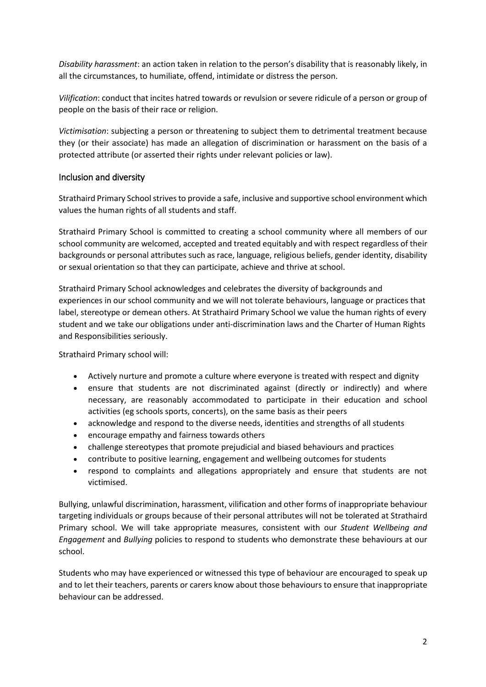*Disability harassment*: an action taken in relation to the person's disability that is reasonably likely, in all the circumstances, to humiliate, offend, intimidate or distress the person.

*Vilification*: conduct that incites hatred towards or revulsion or severe ridicule of a person or group of people on the basis of their race or religion.

*Victimisation*: subjecting a person or threatening to subject them to detrimental treatment because they (or their associate) has made an allegation of discrimination or harassment on the basis of a protected attribute (or asserted their rights under relevant policies or law).

#### Inclusion and diversity

Strathaird Primary School strives to provide a safe, inclusive and supportive school environment which values the human rights of all students and staff.

Strathaird Primary School is committed to creating a school community where all members of our school community are welcomed, accepted and treated equitably and with respect regardless of their backgrounds or personal attributes such as race, language, religious beliefs, gender identity, disability or sexual orientation so that they can participate, achieve and thrive at school.

Strathaird Primary School acknowledges and celebrates the diversity of backgrounds and experiences in our school community and we will not tolerate behaviours, language or practices that label, stereotype or demean others. At Strathaird Primary School we value the human rights of every student and we take our obligations under anti-discrimination laws and the Charter of Human Rights and Responsibilities seriously.

Strathaird Primary school will:

- Actively nurture and promote a culture where everyone is treated with respect and dignity
- ensure that students are not discriminated against (directly or indirectly) and where necessary, are reasonably accommodated to participate in their education and school activities (eg schools sports, concerts), on the same basis as their peers
- acknowledge and respond to the diverse needs, identities and strengths of all students
- encourage empathy and fairness towards others
- challenge stereotypes that promote prejudicial and biased behaviours and practices
- contribute to positive learning, engagement and wellbeing outcomes for students
- respond to complaints and allegations appropriately and ensure that students are not victimised.

Bullying, unlawful discrimination, harassment, vilification and other forms of inappropriate behaviour targeting individuals or groups because of their personal attributes will not be tolerated at Strathaird Primary school. We will take appropriate measures, consistent with our *Student Wellbeing and Engagement* and *Bullying* policies to respond to students who demonstrate these behaviours at our school.

Students who may have experienced or witnessed this type of behaviour are encouraged to speak up and to let their teachers, parents or carers know about those behaviours to ensure that inappropriate behaviour can be addressed.